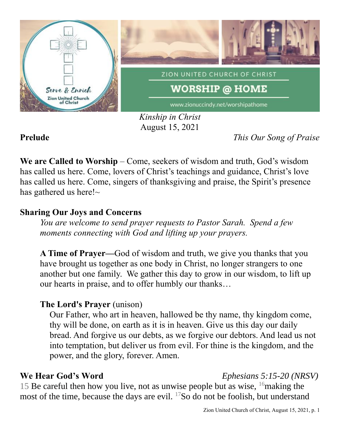

*Kinship in Christ* August 15, 2021

**Prelude** *This Our Song of Praise*

**We are Called to Worship** – Come, seekers of wisdom and truth, God's wisdom has called us here. Come, lovers of Christ's teachings and guidance, Christ's love has called us here. Come, singers of thanksgiving and praise, the Spirit's presence has gathered us here! $\sim$ 

## **Sharing Our Joys and Concerns**

*You are welcome to send prayer requests to Pastor Sarah. Spend a few moments connecting with God and lifting up your prayers.*

**A Time of Prayer—**God of wisdom and truth, we give you thanks that you have brought us together as one body in Christ, no longer strangers to one another but one family. We gather this day to grow in our wisdom, to lift up our hearts in praise, and to offer humbly our thanks…

# **The Lord's Prayer** (unison)

Our Father, who art in heaven, hallowed be thy name, thy kingdom come, thy will be done, on earth as it is in heaven. Give us this day our daily bread. And forgive us our debts, as we forgive our debtors. And lead us not into temptation, but deliver us from evil. For thine is the kingdom, and the power, and the glory, forever. Amen.

### **We Hear God's Word** *Ephesians 5:15-20 (NRSV)*

15 Be careful then how you live, not as unwise people but as wise,  $16$  making the most of the time, because the days are evil. <sup>17</sup>So do not be foolish, but understand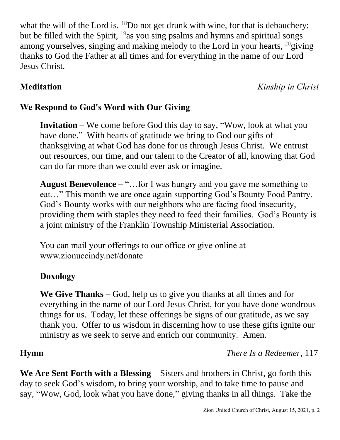what the will of the Lord is.  $18$ Do not get drunk with wine, for that is debauchery; but be filled with the Spirit,  $19$  as you sing psalms and hymns and spiritual songs among yourselves, singing and making melody to the Lord in your hearts,  $^{20}$ giving thanks to God the Father at all times and for everything in the name of our Lord Jesus Christ.

**Meditation** *Kinship in Christ*

### **We Respond to God's Word with Our Giving**

**Invitation –** We come before God this day to say, "Wow, look at what you have done." With hearts of gratitude we bring to God our gifts of thanksgiving at what God has done for us through Jesus Christ. We entrust out resources, our time, and our talent to the Creator of all, knowing that God can do far more than we could ever ask or imagine.

**August Benevolence** – "…for I was hungry and you gave me something to eat…" This month we are once again supporting God's Bounty Food Pantry. God's Bounty works with our neighbors who are facing food insecurity, providing them with staples they need to feed their families. God's Bounty is a joint ministry of the Franklin Township Ministerial Association.

You can mail your offerings to our office or give online at www.zionuccindy.net/donate

### **Doxology**

**We Give Thanks** – God, help us to give you thanks at all times and for everything in the name of our Lord Jesus Christ, for you have done wondrous things for us. Today, let these offerings be signs of our gratitude, as we say thank you. Offer to us wisdom in discerning how to use these gifts ignite our ministry as we seek to serve and enrich our community. Amen.

**Hymn** *There Is a Redeemer*, 117

**We Are Sent Forth with a Blessing –** Sisters and brothers in Christ, go forth this day to seek God's wisdom, to bring your worship, and to take time to pause and say, "Wow, God, look what you have done," giving thanks in all things. Take the